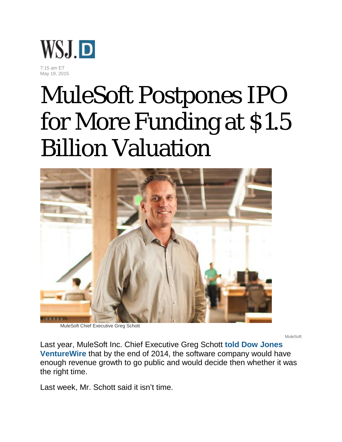

## MuleSoft Postpones IPO for More Funding at \$1.5 Billion Valuation



MuleSoft Chief Executive Greg Schott

MuleSoft

Last year, MuleSoft Inc. Chief Executive Greg Schott **[told Dow Jones](http://pevc.dowjones.com/Article?an=DJFVW00020140313ea3daq9c0&cid=&ctype=&from=Search)  [VentureWire](http://pevc.dowjones.com/Article?an=DJFVW00020140313ea3daq9c0&cid=&ctype=&from=Search)** that by the end of 2014, the software company would have enough revenue growth to go public and would decide then whether it was the right time.

Last week, Mr. Schott said it isn't time.